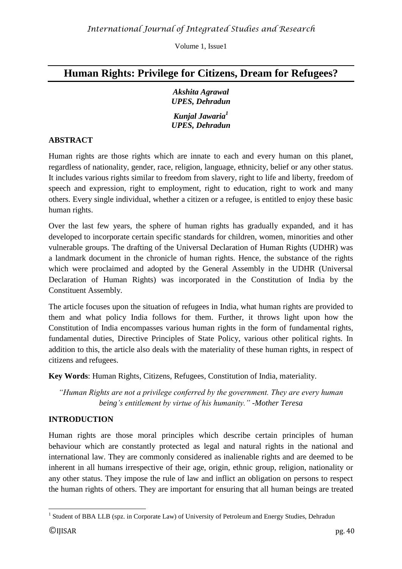# **Human Rights: Privilege for Citizens, Dream for Refugees?**

*Akshita Agrawal UPES, Dehradun*

*Kunjal Jawaria<sup>1</sup> UPES, Dehradun*

### **ABSTRACT**

Human rights are those rights which are innate to each and every human on this planet, regardless of nationality, gender, race, religion, language, ethnicity, belief or any other status. It includes various rights similar to freedom from slavery, right to life and liberty, freedom of speech and expression, right to employment, right to education, right to work and many others. Every single individual, whether a citizen or a refugee, is entitled to enjoy these basic human rights.

Over the last few years, the sphere of human rights has gradually expanded, and it has developed to incorporate certain specific standards for children, women, minorities and other vulnerable groups. The drafting of the Universal Declaration of Human Rights (UDHR) was a landmark document in the chronicle of human rights. Hence, the substance of the rights which were proclaimed and adopted by the General Assembly in the UDHR (Universal Declaration of Human Rights) was incorporated in the Constitution of India by the Constituent Assembly.

The article focuses upon the situation of refugees in India, what human rights are provided to them and what policy India follows for them. Further, it throws light upon how the Constitution of India encompasses various human rights in the form of fundamental rights, fundamental duties, Directive Principles of State Policy, various other political rights. In addition to this, the article also deals with the materiality of these human rights, in respect of citizens and refugees.

**Key Words**: Human Rights, Citizens, Refugees, Constitution of India, materiality.

*"Human Rights are not a privilege conferred by the government. They are every human being's entitlement by virtue of his humanity." -Mother Teresa*

# **INTRODUCTION**

Human rights are those moral principles which describe certain principles of human behaviour which are constantly protected as legal and natural rights in the national and international law. They are commonly considered as inalienable rights and are deemed to be inherent in all humans irrespective of their age, origin, ethnic group, religion, nationality or any other status. They impose the rule of law and inflict an obligation on persons to respect the human rights of others. They are important for ensuring that all human beings are treated

 1 Student of BBA LLB (spz. in Corporate Law) of University of Petroleum and Energy Studies, Dehradun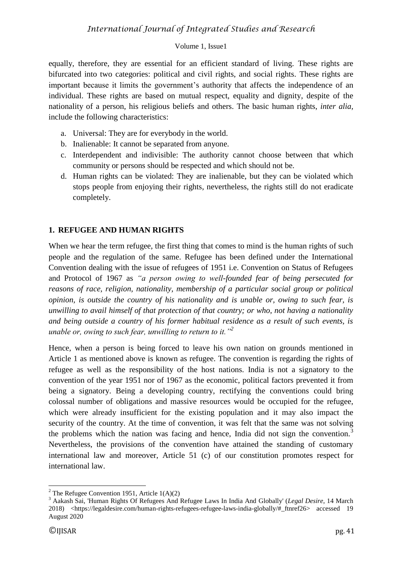equally, therefore, they are essential for an efficient standard of living. These rights are bifurcated into two categories: political and civil rights, and social rights. These rights are important because it limits the government's authority that affects the independence of an individual. These rights are based on mutual respect, equality and dignity, despite of the nationality of a person, his religious beliefs and others. The basic human rights, *inter alia,* include the following characteristics:

- a. Universal: They are for everybody in the world.
- b. Inalienable: It cannot be separated from anyone.
- c. Interdependent and indivisible: The authority cannot choose between that which community or persons should be respected and which should not be.
- d. Human rights can be violated: They are inalienable, but they can be violated which stops people from enjoying their rights, nevertheless, the rights still do not eradicate completely.

# **1. REFUGEE AND HUMAN RIGHTS**

When we hear the term refugee, the first thing that comes to mind is the human rights of such people and the regulation of the same. Refugee has been defined under the International Convention dealing with the issue of refugees of 1951 i.e. Convention on Status of Refugees and Protocol of 1967 as *"a person owing to well-founded fear of being persecuted for reasons of race, religion, nationality, membership of a particular social group or political opinion, is outside the country of his nationality and is unable or, owing to such fear, is unwilling to avail himself of that protection of that country; or who, not having a nationality and being outside a country of his former habitual residence as a result of such events, is unable or, owing to such fear, unwilling to return to it."<sup>2</sup>*

Hence, when a person is being forced to leave his own nation on grounds mentioned in Article 1 as mentioned above is known as refugee. The convention is regarding the rights of refugee as well as the responsibility of the host nations. India is not a signatory to the convention of the year 1951 nor of 1967 as the economic, political factors prevented it from being a signatory. Being a developing country, rectifying the conventions could bring colossal number of obligations and massive resources would be occupied for the refugee, which were already insufficient for the existing population and it may also impact the security of the country. At the time of convention, it was felt that the same was not solving the problems which the nation was facing and hence. India did not sign the convention.<sup>3</sup> Nevertheless, the provisions of the convention have attained the standing of customary international law and moreover, Article 51 (c) of our constitution promotes respect for international law.

<sup>&</sup>lt;sup>2</sup> The Refugee Convention 1951, Article  $1(A)(2)$ 

<sup>3</sup> Aakash Sai, 'Human Rights Of Refugees And Refugee Laws In India And Globally' (*Legal Desire*, 14 March 2018) <https://legaldesire.com/human-rights-refugees-refugee-laws-india-globally/#\_ftnref26> accessed 19 August 2020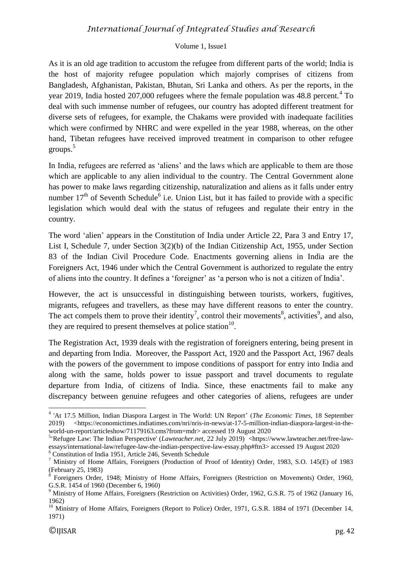#### Volume 1, Issue1

As it is an old age tradition to accustom the refugee from different parts of the world; India is the host of majority refugee population which majorly comprises of citizens from Bangladesh, Afghanistan, Pakistan, Bhutan, Sri Lanka and others. As per the reports, in the year 2019, India hosted 207,000 refugees where the female population was 48.8 percent.<sup>4</sup> To deal with such immense number of refugees, our country has adopted different treatment for diverse sets of refugees, for example, the Chakams were provided with inadequate facilities which were confirmed by NHRC and were expelled in the year 1988, whereas, on the other hand, Tibetan refugees have received improved treatment in comparison to other refugee groups. 5

In India, refugees are referred as 'aliens' and the laws which are applicable to them are those which are applicable to any alien individual to the country. The Central Government alone has power to make laws regarding citizenship, naturalization and aliens as it falls under entry number  $17<sup>th</sup>$  of Seventh Schedule<sup>6</sup> i.e. Union List, but it has failed to provide with a specific legislation which would deal with the status of refugees and regulate their entry in the country.

The word 'alien' appears in the Constitution of India under Article 22, Para 3 and Entry 17, List I, Schedule 7, under Section 3(2)(b) of the Indian Citizenship Act, 1955, under Section 83 of the Indian Civil Procedure Code. Enactments governing aliens in India are the Foreigners Act, 1946 under which the Central Government is authorized to regulate the entry of aliens into the country. It defines a 'foreigner' as 'a person who is not a citizen of India'.

However, the act is unsuccessful in distinguishing between tourists, workers, fugitives, migrants, refugees and travellers, as these may have different reasons to enter the country. The act compels them to prove their identity<sup>7</sup>, control their movements<sup>8</sup>, activities<sup>9</sup>, and also, they are required to present themselves at police station<sup>10</sup>.

The Registration Act, 1939 deals with the registration of foreigners entering, being present in and departing from India. Moreover, the Passport Act, 1920 and the Passport Act, 1967 deals with the powers of the government to impose conditions of passport for entry into India and along with the same, holds power to issue passport and travel documents to regulate departure from India, of citizens of India. Since, these enactments fail to make any discrepancy between genuine refugees and other categories of aliens, refugees are under

 4 'At 17.5 Million, Indian Diaspora Largest in The World: UN Report' (*The Economic Times,* 18 September 2019) <https://economictimes.indiatimes.com/nri/nris-in-news/at-17-5-million-indian-diaspora-largest-in-theworld-un-report/articleshow/71179163.cms?from=mdr> accessed 19 August 2020

<sup>5</sup> 'Refugee Law: The Indian Perspective' (*Lawteacher.net,* 22 July 2019) <https://www.lawteacher.net/free-lawessays/international-law/refugee-law-the-indian-perspective-law-essay.php#ftn3> accessed 19 August 2020

<sup>6</sup> Constitution of India 1951, Article 246, Seventh Schedule

<sup>7</sup> Ministry of Home Affairs, Foreigners (Production of Proof of Identity) Order, 1983, S.O. 145(E) of 1983 (February 25, 1983)

<sup>8</sup> Foreigners Order, 1948; Ministry of Home Affairs, Foreigners (Restriction on Movements) Order, 1960, G.S.R. 1454 of 1960 (December 6, 1960)

<sup>9</sup> Ministry of Home Affairs, Foreigners (Restriction on Activities) Order, 1962, G.S.R. 75 of 1962 (January 16, 1962)

<sup>&</sup>lt;sup>10</sup> Ministry of Home Affairs, Foreigners (Report to Police) Order, 1971, G.S.R. 1884 of 1971 (December 14, 1971)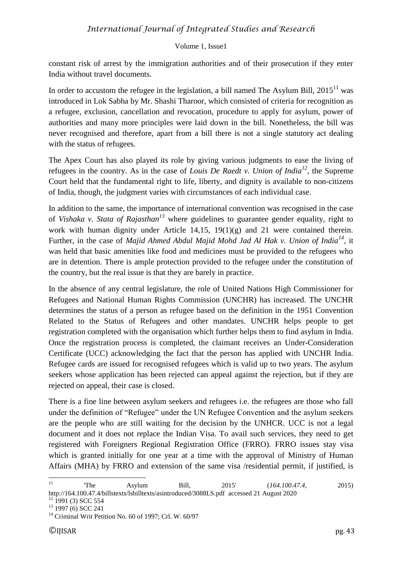constant risk of arrest by the immigration authorities and of their prosecution if they enter India without travel documents.

In order to accustom the refugee in the legislation, a bill named The Asylum Bill,  $2015<sup>11</sup>$  was introduced in Lok Sabha by Mr. Shashi Tharoor, which consisted of criteria for recognition as a refugee, exclusion, cancellation and revocation, procedure to apply for asylum, power of authorities and many more principles were laid down in the bill. Nonetheless, the bill was never recognised and therefore, apart from a bill there is not a single statutory act dealing with the status of refugees.

The Apex Court has also played its role by giving various judgments to ease the living of refugees in the country. As in the case of *Louis De Raedt v. Union of India<sup>12</sup>*, the Supreme Court held that the fundamental right to life, liberty, and dignity is available to non-citizens of India, though, the judgment varies with circumstances of each individual case.

In addition to the same, the importance of international convention was recognised in the case of *Vishaka v. Stata of Rajasthan<sup>13</sup>* where guidelines to guarantee gender equality, right to work with human dignity under Article 14,15, 19(1)(g) and 21 were contained therein. Further, in the case of *Majid Ahmed Abdul Majid Mohd Jad Al Hak v. Union of India<sup>14</sup>*, it was held that basic amenities like food and medicines must be provided to the refugees who are in detention. There is ample protection provided to the refugee under the constitution of the country, but the real issue is that they are barely in practice.

In the absence of any central legislature, the role of United Nations High Commissioner for Refugees and National Human Rights Commission (UNCHR) has increased. The UNCHR determines the status of a person as refugee based on the definition in the 1951 Convention Related to the Status of Refugees and other mandates. UNCHR helps people to get registration completed with the organisation which further helps them to find asylum in India. Once the registration process is completed, the claimant receives an Under-Consideration Certificate (UCC) acknowledging the fact that the person has applied with UNCHR India. Refugee cards are issued for recognised refugees which is valid up to two years. The asylum seekers whose application has been rejected can appeal against the rejection, but if they are rejected on appeal, their case is closed.

There is a fine line between asylum seekers and refugees i.e. the refugees are those who fall under the definition of "Refugee" under the UN Refugee Convention and the asylum seekers are the people who are still waiting for the decision by the UNHCR. UCC is not a legal document and it does not replace the Indian Visa. To avail such services, they need to get registered with Foreigners Regional Registration Office (FRRO). FRRO issues stay visa which is granted initially for one year at a time with the approval of Ministry of Human Affairs (MHA) by FRRO and extension of the same visa /residential permit, if justified, is

 $\overline{11}$ <sup>11</sup> 'The Asylum Bill, 2015' (*164.100.47.4*, 2015) http://164.100.47.4/billstexts/lsbilltexts/asintroduced/3088LS.pdf accessed 21 August 2020

 $12$  1991 (3) SCC 554

 $13$  1997 (6) SCC 241

<sup>&</sup>lt;sup>14</sup> Criminal Writ Petition No. 60 of 1997; Crl. W. 60/97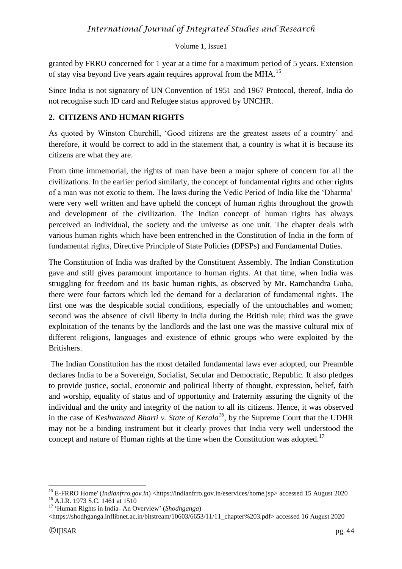#### Volume 1, Issue1

granted by FRRO concerned for 1 year at a time for a maximum period of 5 years. Extension of stay visa beyond five years again requires approval from the MHA.<sup>15</sup>

Since India is not signatory of UN Convention of 1951 and 1967 Protocol, thereof, India do not recognise such ID card and Refugee status approved by UNCHR.

# **2. CITIZENS AND HUMAN RIGHTS**

As quoted by Winston Churchill, 'Good citizens are the greatest assets of a country' and therefore, it would be correct to add in the statement that, a country is what it is because its citizens are what they are.

From time immemorial, the rights of man have been a major sphere of concern for all the civilizations. In the earlier period similarly, the concept of fundamental rights and other rights of a man was not exotic to them. The laws during the Vedic Period of India like the 'Dharma' were very well written and have upheld the concept of human rights throughout the growth and development of the civilization. The Indian concept of human rights has always perceived an individual, the society and the universe as one unit. The chapter deals with various human rights which have been entrenched in the Constitution of India in the form of fundamental rights, Directive Principle of State Policies (DPSPs) and Fundamental Duties.

The Constitution of India was drafted by the Constituent Assembly. The Indian Constitution gave and still gives paramount importance to human rights. At that time, when India was struggling for freedom and its basic human rights, as observed by Mr. Ramchandra Guha, there were four factors which led the demand for a declaration of fundamental rights. The first one was the despicable social conditions, especially of the untouchables and women; second was the absence of civil liberty in India during the British rule; third was the grave exploitation of the tenants by the landlords and the last one was the massive cultural mix of different religions, languages and existence of ethnic groups who were exploited by the Britishers.

The Indian Constitution has the most detailed fundamental laws ever adopted, our Preamble declares India to be a Sovereign, Socialist, Secular and Democratic, Republic. It also pledges to provide justice, social, economic and political liberty of thought, expression, belief, faith and worship, equality of status and of opportunity and fraternity assuring the dignity of the individual and the unity and integrity of the nation to all its citizens. Hence, it was observed in the case of *Keshvanand Bharti v. State of Kerala<sup>16</sup>*, by the Supreme Court that the UDHR may not be a binding instrument but it clearly proves that India very well understood the concept and nature of Human rights at the time when the Constitution was adopted.<sup>17</sup>

<sup>&</sup>lt;sup>15</sup> E-FRRO Home' (*Indianfrro.gov.in*) <https://indianfrro.gov.in/eservices/home.jsp> accessed 15 August 2020 <sup>16</sup> A.I.R. 1973 S.C. 1461 at 1510

<sup>17</sup> 'Human Rights in India- An Overview' (*Shodhganga*)

<sup>&</sup>lt;https://shodhganga.inflibnet.ac.in/bitstream/10603/6653/11/11\_chapter%203.pdf> accessed 16 August 2020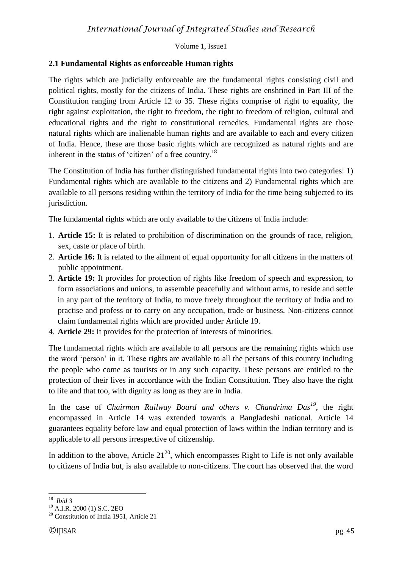# **2.1 Fundamental Rights as enforceable Human rights**

The rights which are judicially enforceable are the fundamental rights consisting civil and political rights, mostly for the citizens of India. These rights are enshrined in Part III of the Constitution ranging from Article 12 to 35. These rights comprise of right to equality, the right against exploitation, the right to freedom, the right to freedom of religion, cultural and educational rights and the right to constitutional remedies. Fundamental rights are those natural rights which are inalienable human rights and are available to each and every citizen of India. Hence, these are those basic rights which are recognized as natural rights and are inherent in the status of 'citizen' of a free country.<sup>18</sup>

The Constitution of India has further distinguished fundamental rights into two categories: 1) Fundamental rights which are available to the citizens and 2) Fundamental rights which are available to all persons residing within the territory of India for the time being subjected to its jurisdiction.

The fundamental rights which are only available to the citizens of India include:

- 1. **Article 15:** It is related to prohibition of discrimination on the grounds of race, religion, sex, caste or place of birth.
- 2. **Article 16:** It is related to the ailment of equal opportunity for all citizens in the matters of public appointment.
- 3. **Article 19:** It provides for protection of rights like freedom of speech and expression, to form associations and unions, to assemble peacefully and without arms, to reside and settle in any part of the territory of India, to move freely throughout the territory of India and to practise and profess or to carry on any occupation, trade or business. Non-citizens cannot claim fundamental rights which are provided under Article 19.
- 4. **Article 29:** It provides for the protection of interests of minorities.

The fundamental rights which are available to all persons are the remaining rights which use the word 'person' in it. These rights are available to all the persons of this country including the people who come as tourists or in any such capacity. These persons are entitled to the protection of their lives in accordance with the Indian Constitution. They also have the right to life and that too, with dignity as long as they are in India.

In the case of *Chairman Railway Board and others v. Chandrima Das<sup>19</sup>*, the right encompassed in Article 14 was extended towards a Bangladeshi national. Article 14 guarantees equality before law and equal protection of laws within the Indian territory and is applicable to all persons irrespective of citizenship.

In addition to the above, Article  $21^{20}$ , which encompasses Right to Life is not only available to citizens of India but, is also available to non-citizens. The court has observed that the word

<sup>1</sup> <sup>18</sup> *Ibid 3*

<sup>19</sup> A.I.R. 2000 (1) S.C. 2EO

<sup>20</sup> Constitution of India 1951, Article 21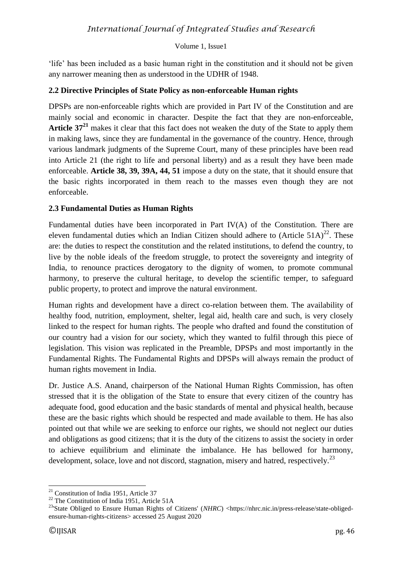#### Volume 1, Issue1

'life' has been included as a basic human right in the constitution and it should not be given any narrower meaning then as understood in the UDHR of 1948.

### **2.2 Directive Principles of State Policy as non-enforceable Human rights**

DPSPs are non-enforceable rights which are provided in Part IV of the Constitution and are mainly social and economic in character. Despite the fact that they are non-enforceable, **Article 37<sup>21</sup>** makes it clear that this fact does not weaken the duty of the State to apply them in making laws, since they are fundamental in the governance of the country. Hence, through various landmark judgments of the Supreme Court, many of these principles have been read into Article 21 (the right to life and personal liberty) and as a result they have been made enforceable. **Article 38, 39, 39A, 44, 51** impose a duty on the state, that it should ensure that the basic rights incorporated in them reach to the masses even though they are not enforceable.

## **2.3 Fundamental Duties as Human Rights**

Fundamental duties have been incorporated in Part IV(A) of the Constitution. There are eleven fundamental duties which an Indian Citizen should adhere to  $(A<sup>rt</sup>)<sup>22</sup>$ . These are: the duties to respect the constitution and the related institutions, to defend the country, to live by the noble ideals of the freedom struggle, to protect the sovereignty and integrity of India, to renounce practices derogatory to the dignity of women, to promote communal harmony, to preserve the cultural heritage, to develop the scientific temper, to safeguard public property, to protect and improve the natural environment.

Human rights and development have a direct co-relation between them. The availability of healthy food, nutrition, employment, shelter, legal aid, health care and such, is very closely linked to the respect for human rights. The people who drafted and found the constitution of our country had a vision for our society, which they wanted to fulfil through this piece of legislation. This vision was replicated in the Preamble, DPSPs and most importantly in the Fundamental Rights. The Fundamental Rights and DPSPs will always remain the product of human rights movement in India.

Dr. Justice A.S. Anand, chairperson of the National Human Rights Commission, has often stressed that it is the obligation of the State to ensure that every citizen of the country has adequate food, good education and the basic standards of mental and physical health, because these are the basic rights which should be respected and made available to them. He has also pointed out that while we are seeking to enforce our rights, we should not neglect our duties and obligations as good citizens; that it is the duty of the citizens to assist the society in order to achieve equilibrium and eliminate the imbalance. He has bellowed for harmony, development, solace, love and not discord, stagnation, misery and hatred, respectively.<sup>23</sup>

 $21$  Constitution of India 1951, Article 37

<sup>&</sup>lt;sup>22</sup> The Constitution of India 1951, Article 51A

<sup>&</sup>lt;sup>23</sup>'State Obliged to Ensure Human Rights of Citizens' (NHRC) <https://nhrc.nic.in/press-release/state-obligedensure-human-rights-citizens> accessed 25 August 2020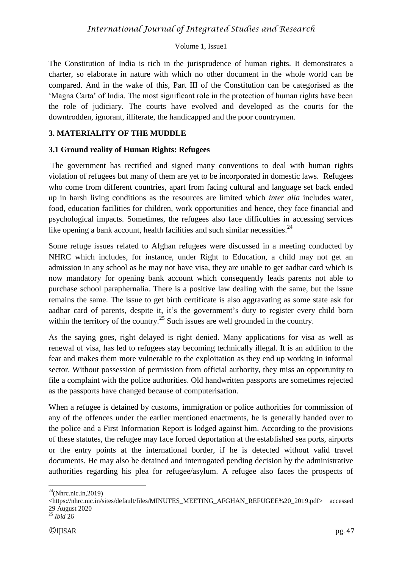The Constitution of India is rich in the jurisprudence of human rights. It demonstrates a charter, so elaborate in nature with which no other document in the whole world can be compared. And in the wake of this, Part III of the Constitution can be categorised as the 'Magna Carta' of India. The most significant role in the protection of human rights have been the role of judiciary. The courts have evolved and developed as the courts for the downtrodden, ignorant, illiterate, the handicapped and the poor countrymen.

#### **3. MATERIALITY OF THE MUDDLE**

#### **3.1 Ground reality of Human Rights: Refugees**

The government has rectified and signed many conventions to deal with human rights violation of refugees but many of them are yet to be incorporated in domestic laws. Refugees who come from different countries, apart from facing cultural and language set back ended up in harsh living conditions as the resources are limited which *inter alia* includes water, food, education facilities for children, work opportunities and hence, they face financial and psychological impacts. Sometimes, the refugees also face difficulties in accessing services like opening a bank account, health facilities and such similar necessities. $^{24}$ 

Some refuge issues related to Afghan refugees were discussed in a meeting conducted by NHRC which includes, for instance, under Right to Education, a child may not get an admission in any school as he may not have visa, they are unable to get aadhar card which is now mandatory for opening bank account which consequently leads parents not able to purchase school paraphernalia. There is a positive law dealing with the same, but the issue remains the same. The issue to get birth certificate is also aggravating as some state ask for aadhar card of parents, despite it, it's the government's duty to register every child born within the territory of the country.<sup>25</sup> Such issues are well grounded in the country.

As the saying goes, right delayed is right denied. Many applications for visa as well as renewal of visa, has led to refugees stay becoming technically illegal. It is an addition to the fear and makes them more vulnerable to the exploitation as they end up working in informal sector. Without possession of permission from official authority, they miss an opportunity to file a complaint with the police authorities. Old handwritten passports are sometimes rejected as the passports have changed because of computerisation.

When a refugee is detained by customs, immigration or police authorities for commission of any of the offences under the earlier mentioned enactments, he is generally handed over to the police and a First Information Report is lodged against him. According to the provisions of these statutes, the refugee may face forced deportation at the established sea ports, airports or the entry points at the international border, if he is detected without valid travel documents. He may also be detained and interrogated pending decision by the administrative authorities regarding his plea for refugee/asylum. A refugee also faces the prospects of

 $^{24}$ (Nhrc.nic.in,2019)

<sup>&</sup>lt;https://nhrc.nic.in/sites/default/files/MINUTES\_MEETING\_AFGHAN\_REFUGEE%20\_2019.pdf> accessed 29 August 2020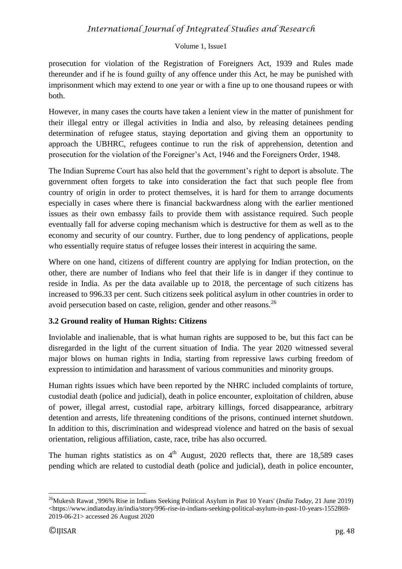#### Volume 1, Issue1

prosecution for violation of the Registration of Foreigners Act, 1939 and Rules made thereunder and if he is found guilty of any offence under this Act, he may be punished with imprisonment which may extend to one year or with a fine up to one thousand rupees or with both.

However, in many cases the courts have taken a lenient view in the matter of punishment for their illegal entry or illegal activities in India and also, by releasing detainees pending determination of refugee status, staying deportation and giving them an opportunity to approach the UBHRC, refugees continue to run the risk of apprehension, detention and prosecution for the violation of the Foreigner's Act, 1946 and the Foreigners Order, 1948.

The Indian Supreme Court has also held that the government's right to deport is absolute. The government often forgets to take into consideration the fact that such people flee from country of origin in order to protect themselves, it is hard for them to arrange documents especially in cases where there is financial backwardness along with the earlier mentioned issues as their own embassy fails to provide them with assistance required. Such people eventually fall for adverse coping mechanism which is destructive for them as well as to the economy and security of our country. Further, due to long pendency of applications, people who essentially require status of refugee losses their interest in acquiring the same.

Where on one hand, citizens of different country are applying for Indian protection, on the other, there are number of Indians who feel that their life is in danger if they continue to reside in India. As per the data available up to 2018, the percentage of such citizens has increased to 996.33 per cent. Such citizens seek political asylum in other countries in order to avoid persecution based on caste, religion, gender and other reasons.<sup>26</sup>

# **3.2 Ground reality of Human Rights: Citizens**

Inviolable and inalienable, that is what human rights are supposed to be, but this fact can be disregarded in the light of the current situation of India. The year 2020 witnessed several major blows on human rights in India, starting from repressive laws curbing freedom of expression to intimidation and harassment of various communities and minority groups.

Human rights issues which have been reported by the NHRC included complaints of torture, custodial death (police and judicial), death in police encounter, exploitation of children, abuse of power, illegal arrest, custodial rape, arbitrary killings, forced disappearance, arbitrary detention and arrests, life threatening conditions of the prisons, continued internet shutdown. In addition to this, discrimination and widespread violence and hatred on the basis of sexual orientation, religious affiliation, caste, race, tribe has also occurred.

The human rights statistics as on  $4<sup>th</sup>$  August, 2020 reflects that, there are 18,589 cases pending which are related to custodial death (police and judicial), death in police encounter,

<sup>1</sup> <sup>26</sup>Mukesh Rawat ,'996% Rise in Indians Seeking Political Asylum in Past 10 Years' (*India Today,* 21 June 2019)  $\lt$ https://www.indiatoday.in/india/story/996-rise-in-indians-seeking-political-asylum-in-past-10-years-1552869-2019-06-21> accessed 26 August 2020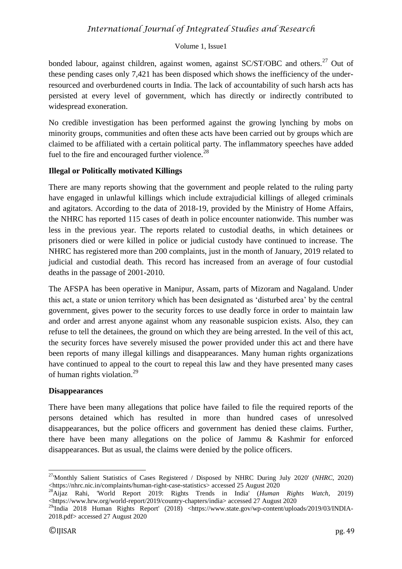#### Volume 1, Issue1

bonded labour, against children, against women, against SC/ST/OBC and others.<sup>27</sup> Out of these pending cases only 7,421 has been disposed which shows the inefficiency of the underresourced and overburdened courts in India. The lack of accountability of such harsh acts has persisted at every level of government, which has directly or indirectly contributed to widespread exoneration.

No credible investigation has been performed against the growing lynching by mobs on minority groups, communities and often these acts have been carried out by groups which are claimed to be affiliated with a certain political party. The inflammatory speeches have added fuel to the fire and encouraged further violence.<sup>28</sup>

#### **Illegal or Politically motivated Killings**

There are many reports showing that the government and people related to the ruling party have engaged in unlawful killings which include extrajudicial killings of alleged criminals and agitators. According to the data of 2018-19, provided by the Ministry of Home Affairs, the NHRC has reported 115 cases of death in police encounter nationwide. This number was less in the previous year. The reports related to custodial deaths, in which detainees or prisoners died or were killed in police or judicial custody have continued to increase. The NHRC has registered more than 200 complaints, just in the month of January, 2019 related to judicial and custodial death. This record has increased from an average of four custodial deaths in the passage of 2001-2010.

The AFSPA has been operative in Manipur, Assam, parts of Mizoram and Nagaland. Under this act, a state or union territory which has been designated as 'disturbed area' by the central government, gives power to the security forces to use deadly force in order to maintain law and order and arrest anyone against whom any reasonable suspicion exists. Also, they can refuse to tell the detainees, the ground on which they are being arrested. In the veil of this act, the security forces have severely misused the power provided under this act and there have been reports of many illegal killings and disappearances. Many human rights organizations have continued to appeal to the court to repeal this law and they have presented many cases of human rights violation.<sup>29</sup>

#### **Disappearances**

There have been many allegations that police have failed to file the required reports of the persons detained which has resulted in more than hundred cases of unresolved disappearances, but the police officers and government has denied these claims. Further, there have been many allegations on the police of Jammu & Kashmir for enforced disappearances. But as usual, the claims were denied by the police officers.

1

<sup>27</sup>'Monthly Salient Statistics of Cases Registered / Disposed by NHRC During July 2020' (*NHRC*, 2020) <https://nhrc.nic.in/complaints/human-right-case-statistics> accessed 25 August 2020

<sup>28</sup>Aijaz Rahi, 'World Report 2019: Rights Trends in India' (*Human Rights Watch*, 2019) <https://www.hrw.org/world-report/2019/country-chapters/india> accessed 27 August 2020

<sup>&</sup>lt;sup>29</sup>India 2018 Human Rights Report' (2018) <https://www.state.gov/wp-content/uploads/2019/03/INDIA-2018.pdf> accessed 27 August 2020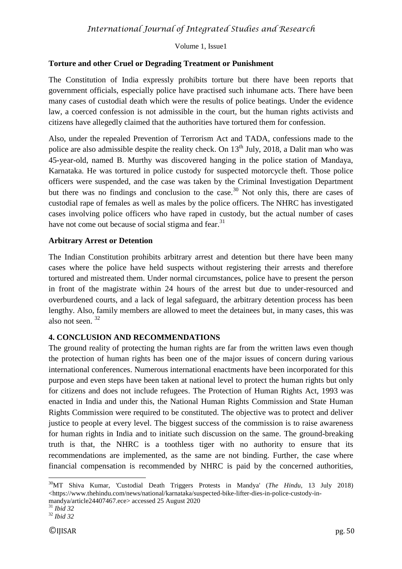## **Torture and other Cruel or Degrading Treatment or Punishment**

The Constitution of India expressly prohibits torture but there have been reports that government officials, especially police have practised such inhumane acts. There have been many cases of custodial death which were the results of police beatings. Under the evidence law, a coerced confession is not admissible in the court, but the human rights activists and citizens have allegedly claimed that the authorities have tortured them for confession.

Also, under the repealed Prevention of Terrorism Act and TADA, confessions made to the police are also admissible despite the reality check. On  $13<sup>th</sup>$  July, 2018, a Dalit man who was 45-year-old, named B. Murthy was discovered hanging in the police station of Mandaya, Karnataka. He was tortured in police custody for suspected motorcycle theft. Those police officers were suspended, and the case was taken by the Criminal Investigation Department but there was no findings and conclusion to the case.<sup>30</sup> Not only this, there are cases of custodial rape of females as well as males by the police officers. The NHRC has investigated cases involving police officers who have raped in custody, but the actual number of cases have not come out because of social stigma and fear.<sup>31</sup>

## **Arbitrary Arrest or Detention**

The Indian Constitution prohibits arbitrary arrest and detention but there have been many cases where the police have held suspects without registering their arrests and therefore tortured and mistreated them. Under normal circumstances, police have to present the person in front of the magistrate within 24 hours of the arrest but due to under-resourced and overburdened courts, and a lack of legal safeguard, the arbitrary detention process has been lengthy. Also, family members are allowed to meet the detainees but, in many cases, this was also not seen. <sup>32</sup>

# **4. CONCLUSION AND RECOMMENDATIONS**

The ground reality of protecting the human rights are far from the written laws even though the protection of human rights has been one of the major issues of concern during various international conferences. Numerous international enactments have been incorporated for this purpose and even steps have been taken at national level to protect the human rights but only for citizens and does not include refugees. The Protection of Human Rights Act, 1993 was enacted in India and under this, the National Human Rights Commission and State Human Rights Commission were required to be constituted. The objective was to protect and deliver justice to people at every level. The biggest success of the commission is to raise awareness for human rights in India and to initiate such discussion on the same. The ground-breaking truth is that, the NHRC is a toothless tiger with no authority to ensure that its recommendations are implemented, as the same are not binding. Further, the case where financial compensation is recommended by NHRC is paid by the concerned authorities,

<sup>30</sup>MT Shiva Kumar, 'Custodial Death Triggers Protests in Mandya' (*The Hindu,* 13 July 2018)  $\lt$ https://www.thehindu.com/news/national/karnataka/suspected-bike-lifter-dies-in-police-custody-inmandya/article24407467.ece> accessed 25 August 2020

<sup>31</sup> *Ibid 32*

<sup>32</sup> *Ibid 32*